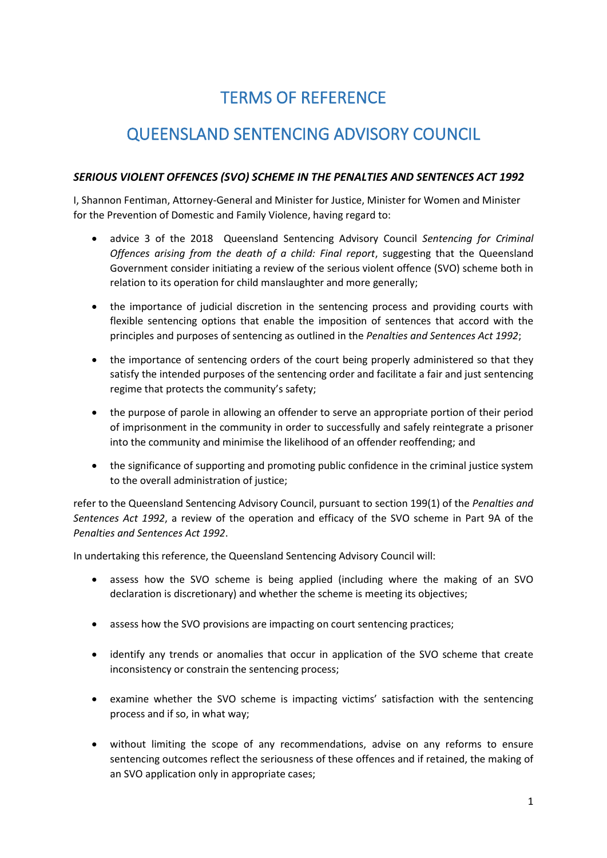## TERMS OF REFERENCE

## QUEENSLAND SENTENCING ADVISORY COUNCIL

## *SERIOUS VIOLENT OFFENCES (SVO) SCHEME IN THE PENALTIES AND SENTENCES ACT 1992*

I, Shannon Fentiman, Attorney-General and Minister for Justice, Minister for Women and Minister for the Prevention of Domestic and Family Violence, having regard to:

- advice 3 of the 2018 Queensland Sentencing Advisory Council *Sentencing for Criminal Offences arising from the death of a child: Final report*, suggesting that the Queensland Government consider initiating a review of the serious violent offence (SVO) scheme both in relation to its operation for child manslaughter and more generally;
- the importance of judicial discretion in the sentencing process and providing courts with flexible sentencing options that enable the imposition of sentences that accord with the principles and purposes of sentencing as outlined in the *Penalties and Sentences Act 1992*;
- the importance of sentencing orders of the court being properly administered so that they satisfy the intended purposes of the sentencing order and facilitate a fair and just sentencing regime that protects the community's safety;
- the purpose of parole in allowing an offender to serve an appropriate portion of their period of imprisonment in the community in order to successfully and safely reintegrate a prisoner into the community and minimise the likelihood of an offender reoffending; and
- the significance of supporting and promoting public confidence in the criminal justice system to the overall administration of justice;

refer to the Queensland Sentencing Advisory Council, pursuant to section 199(1) of the *Penalties and Sentences Act 1992*, a review of the operation and efficacy of the SVO scheme in Part 9A of the *Penalties and Sentences Act 1992*.

In undertaking this reference, the Queensland Sentencing Advisory Council will:

- assess how the SVO scheme is being applied (including where the making of an SVO declaration is discretionary) and whether the scheme is meeting its objectives;
- assess how the SVO provisions are impacting on court sentencing practices;
- identify any trends or anomalies that occur in application of the SVO scheme that create inconsistency or constrain the sentencing process;
- examine whether the SVO scheme is impacting victims' satisfaction with the sentencing process and if so, in what way;
- without limiting the scope of any recommendations, advise on any reforms to ensure sentencing outcomes reflect the seriousness of these offences and if retained, the making of an SVO application only in appropriate cases;